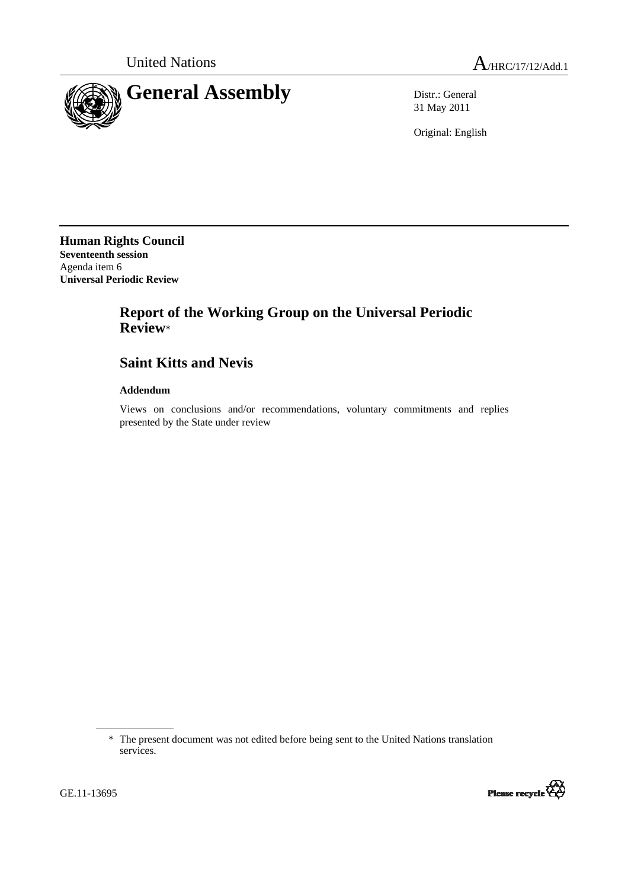

31 May 2011

Original: English

**Human Rights Council Seventeenth session**  Agenda item 6 **Universal Periodic Review** 

# **Report of the Working Group on the Universal Periodic Review**\*

## **Saint Kitts and Nevis**

## **Addendum**

Views on conclusions and/or recommendations, voluntary commitments and replies presented by the State under review

<sup>\*</sup> The present document was not edited before being sent to the United Nations translation services.



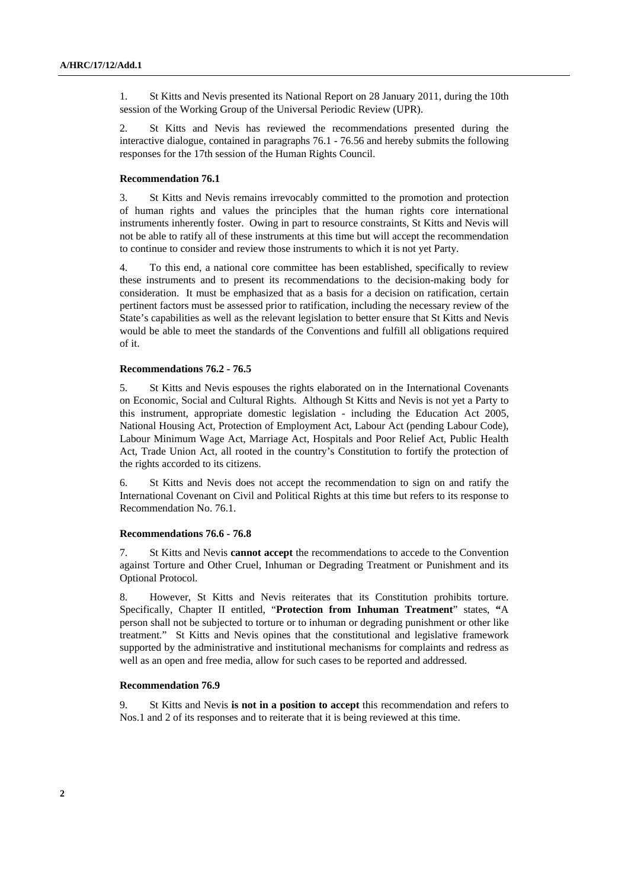1. St Kitts and Nevis presented its National Report on 28 January 2011, during the 10th session of the Working Group of the Universal Periodic Review (UPR).

2. St Kitts and Nevis has reviewed the recommendations presented during the interactive dialogue, contained in paragraphs 76.1 - 76.56 and hereby submits the following responses for the 17th session of the Human Rights Council.

## **Recommendation 76.1**

3. St Kitts and Nevis remains irrevocably committed to the promotion and protection of human rights and values the principles that the human rights core international instruments inherently foster. Owing in part to resource constraints, St Kitts and Nevis will not be able to ratify all of these instruments at this time but will accept the recommendation to continue to consider and review those instruments to which it is not yet Party.

4. To this end, a national core committee has been established, specifically to review these instruments and to present its recommendations to the decision-making body for consideration. It must be emphasized that as a basis for a decision on ratification, certain pertinent factors must be assessed prior to ratification, including the necessary review of the State's capabilities as well as the relevant legislation to better ensure that St Kitts and Nevis would be able to meet the standards of the Conventions and fulfill all obligations required of it.

## **Recommendations 76.2 - 76.5**

5. St Kitts and Nevis espouses the rights elaborated on in the International Covenants on Economic, Social and Cultural Rights. Although St Kitts and Nevis is not yet a Party to this instrument, appropriate domestic legislation - including the Education Act 2005, National Housing Act, Protection of Employment Act, Labour Act (pending Labour Code), Labour Minimum Wage Act, Marriage Act, Hospitals and Poor Relief Act, Public Health Act, Trade Union Act, all rooted in the country's Constitution to fortify the protection of the rights accorded to its citizens.

6. St Kitts and Nevis does not accept the recommendation to sign on and ratify the International Covenant on Civil and Political Rights at this time but refers to its response to Recommendation No. 76.1.

#### **Recommendations 76.6 - 76.8**

7. St Kitts and Nevis **cannot accept** the recommendations to accede to the Convention against Torture and Other Cruel, Inhuman or Degrading Treatment or Punishment and its Optional Protocol.

8. However, St Kitts and Nevis reiterates that its Constitution prohibits torture. Specifically, Chapter II entitled, "**Protection from Inhuman Treatment**" states, **"**A person shall not be subjected to torture or to inhuman or degrading punishment or other like treatment." St Kitts and Nevis opines that the constitutional and legislative framework supported by the administrative and institutional mechanisms for complaints and redress as well as an open and free media, allow for such cases to be reported and addressed.

### **Recommendation 76.9**

9. St Kitts and Nevis **is not in a position to accept** this recommendation and refers to Nos.1 and 2 of its responses and to reiterate that it is being reviewed at this time.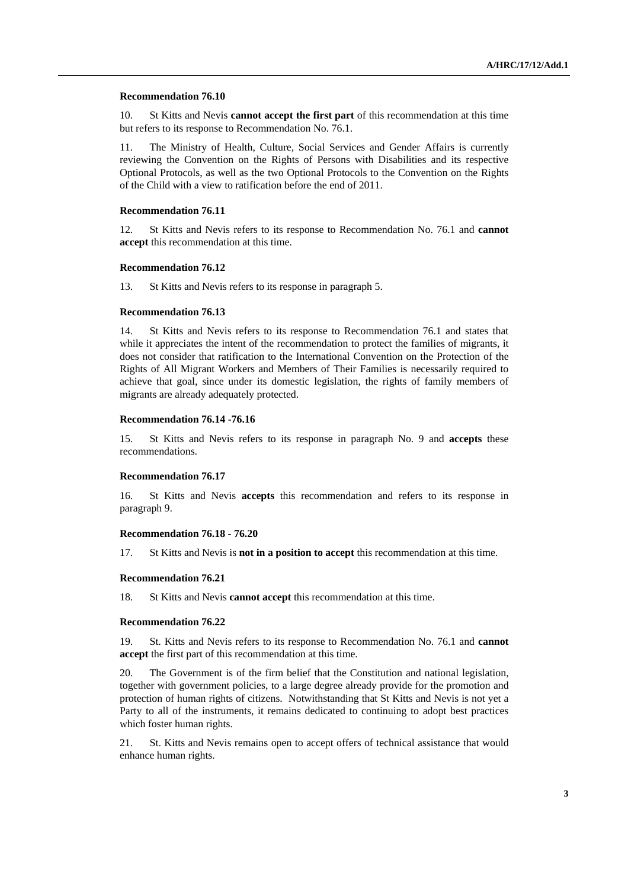#### **Recommendation 76.10**

10. St Kitts and Nevis **cannot accept the first part** of this recommendation at this time but refers to its response to Recommendation No. 76.1.

11. The Ministry of Health, Culture, Social Services and Gender Affairs is currently reviewing the Convention on the Rights of Persons with Disabilities and its respective Optional Protocols, as well as the two Optional Protocols to the Convention on the Rights of the Child with a view to ratification before the end of 2011.

#### **Recommendation 76.11**

12. St Kitts and Nevis refers to its response to Recommendation No. 76.1 and **cannot accept** this recommendation at this time.

#### **Recommendation 76.12**

13. St Kitts and Nevis refers to its response in paragraph 5.

## **Recommendation 76.13**

14. St Kitts and Nevis refers to its response to Recommendation 76.1 and states that while it appreciates the intent of the recommendation to protect the families of migrants, it does not consider that ratification to the International Convention on the Protection of the Rights of All Migrant Workers and Members of Their Families is necessarily required to achieve that goal, since under its domestic legislation, the rights of family members of migrants are already adequately protected.

#### **Recommendation 76.14 -76.16**

15. St Kitts and Nevis refers to its response in paragraph No. 9 and **accepts** these recommendations.

#### **Recommendation 76.17**

16. St Kitts and Nevis **accepts** this recommendation and refers to its response in paragraph 9.

#### **Recommendation 76.18 - 76.20**

17. St Kitts and Nevis is **not in a position to accept** this recommendation at this time.

#### **Recommendation 76.21**

18. St Kitts and Nevis **cannot accept** this recommendation at this time.

#### **Recommendation 76.22**

19. St. Kitts and Nevis refers to its response to Recommendation No. 76.1 and **cannot accept** the first part of this recommendation at this time.

20. The Government is of the firm belief that the Constitution and national legislation, together with government policies, to a large degree already provide for the promotion and protection of human rights of citizens. Notwithstanding that St Kitts and Nevis is not yet a Party to all of the instruments, it remains dedicated to continuing to adopt best practices which foster human rights.

21. St. Kitts and Nevis remains open to accept offers of technical assistance that would enhance human rights.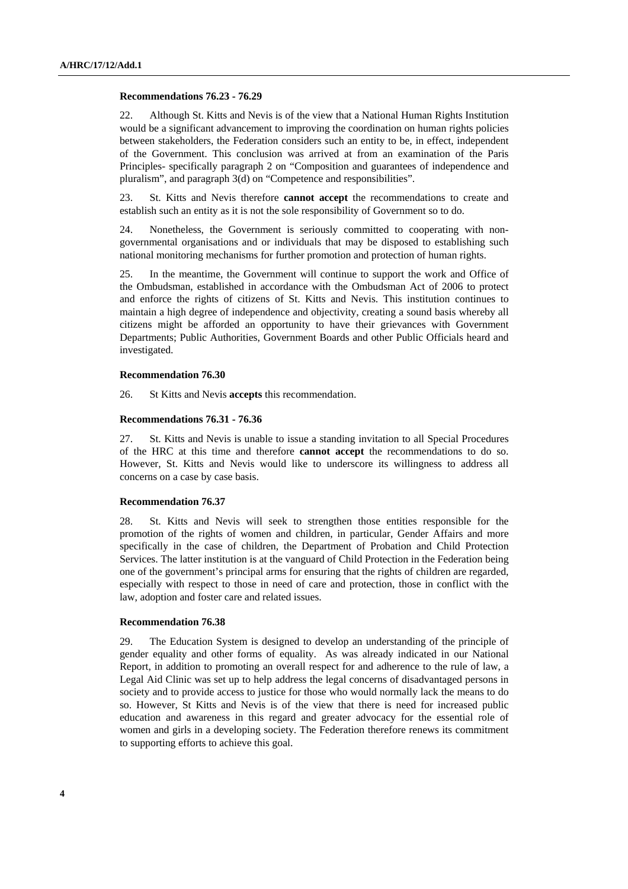#### **Recommendations 76.23 - 76.29**

22. Although St. Kitts and Nevis is of the view that a National Human Rights Institution would be a significant advancement to improving the coordination on human rights policies between stakeholders, the Federation considers such an entity to be, in effect, independent of the Government. This conclusion was arrived at from an examination of the Paris Principles- specifically paragraph 2 on "Composition and guarantees of independence and pluralism", and paragraph 3(d) on "Competence and responsibilities".

23. St. Kitts and Nevis therefore **cannot accept** the recommendations to create and establish such an entity as it is not the sole responsibility of Government so to do.

24. Nonetheless, the Government is seriously committed to cooperating with nongovernmental organisations and or individuals that may be disposed to establishing such national monitoring mechanisms for further promotion and protection of human rights.

25. In the meantime, the Government will continue to support the work and Office of the Ombudsman, established in accordance with the Ombudsman Act of 2006 to protect and enforce the rights of citizens of St. Kitts and Nevis. This institution continues to maintain a high degree of independence and objectivity, creating a sound basis whereby all citizens might be afforded an opportunity to have their grievances with Government Departments; Public Authorities, Government Boards and other Public Officials heard and investigated.

#### **Recommendation 76.30**

26. St Kitts and Nevis **accepts** this recommendation.

#### **Recommendations 76.31 - 76.36**

27. St. Kitts and Nevis is unable to issue a standing invitation to all Special Procedures of the HRC at this time and therefore **cannot accept** the recommendations to do so. However, St. Kitts and Nevis would like to underscore its willingness to address all concerns on a case by case basis.

## **Recommendation 76.37**

28. St. Kitts and Nevis will seek to strengthen those entities responsible for the promotion of the rights of women and children, in particular, Gender Affairs and more specifically in the case of children, the Department of Probation and Child Protection Services. The latter institution is at the vanguard of Child Protection in the Federation being one of the government's principal arms for ensuring that the rights of children are regarded, especially with respect to those in need of care and protection, those in conflict with the law, adoption and foster care and related issues.

#### **Recommendation 76.38**

29. The Education System is designed to develop an understanding of the principle of gender equality and other forms of equality. As was already indicated in our National Report, in addition to promoting an overall respect for and adherence to the rule of law, a Legal Aid Clinic was set up to help address the legal concerns of disadvantaged persons in society and to provide access to justice for those who would normally lack the means to do so. However, St Kitts and Nevis is of the view that there is need for increased public education and awareness in this regard and greater advocacy for the essential role of women and girls in a developing society. The Federation therefore renews its commitment to supporting efforts to achieve this goal.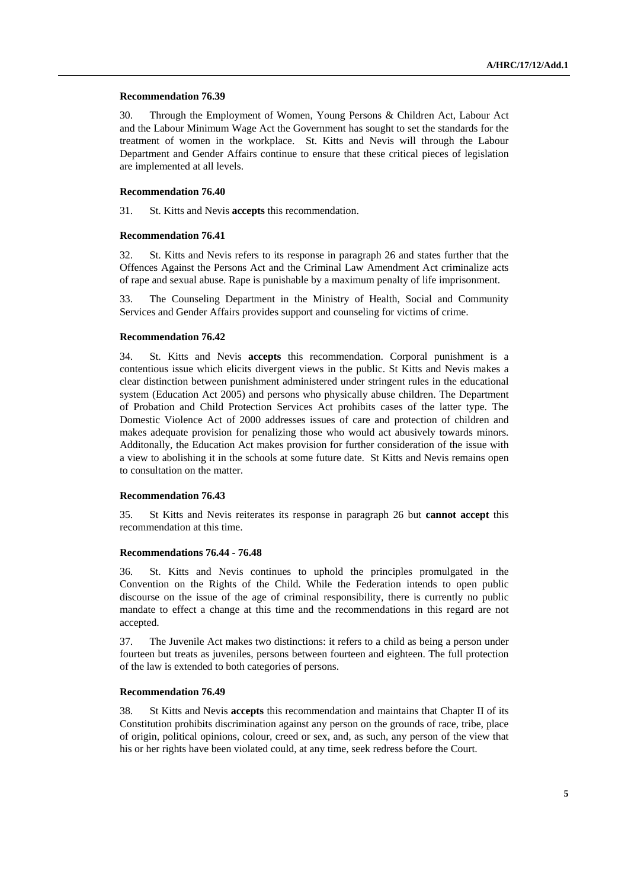#### **Recommendation 76.39**

30. Through the Employment of Women, Young Persons & Children Act, Labour Act and the Labour Minimum Wage Act the Government has sought to set the standards for the treatment of women in the workplace. St. Kitts and Nevis will through the Labour Department and Gender Affairs continue to ensure that these critical pieces of legislation are implemented at all levels.

### **Recommendation 76.40**

31. St. Kitts and Nevis **accepts** this recommendation.

#### **Recommendation 76.41**

32. St. Kitts and Nevis refers to its response in paragraph 26 and states further that the Offences Against the Persons Act and the Criminal Law Amendment Act criminalize acts of rape and sexual abuse. Rape is punishable by a maximum penalty of life imprisonment.

33. The Counseling Department in the Ministry of Health, Social and Community Services and Gender Affairs provides support and counseling for victims of crime.

#### **Recommendation 76.42**

34. St. Kitts and Nevis **accepts** this recommendation. Corporal punishment is a contentious issue which elicits divergent views in the public. St Kitts and Nevis makes a clear distinction between punishment administered under stringent rules in the educational system (Education Act 2005) and persons who physically abuse children. The Department of Probation and Child Protection Services Act prohibits cases of the latter type. The Domestic Violence Act of 2000 addresses issues of care and protection of children and makes adequate provision for penalizing those who would act abusively towards minors. Additonally, the Education Act makes provision for further consideration of the issue with a view to abolishing it in the schools at some future date. St Kitts and Nevis remains open to consultation on the matter.

## **Recommendation 76.43**

35. St Kitts and Nevis reiterates its response in paragraph 26 but **cannot accept** this recommendation at this time.

### **Recommendations 76.44 - 76.48**

36. St. Kitts and Nevis continues to uphold the principles promulgated in the Convention on the Rights of the Child. While the Federation intends to open public discourse on the issue of the age of criminal responsibility, there is currently no public mandate to effect a change at this time and the recommendations in this regard are not accepted.

37. The Juvenile Act makes two distinctions: it refers to a child as being a person under fourteen but treats as juveniles, persons between fourteen and eighteen. The full protection of the law is extended to both categories of persons.

## **Recommendation 76.49**

38. St Kitts and Nevis **accepts** this recommendation and maintains that Chapter II of its Constitution prohibits discrimination against any person on the grounds of race, tribe, place of origin, political opinions, colour, creed or sex, and, as such, any person of the view that his or her rights have been violated could, at any time, seek redress before the Court.